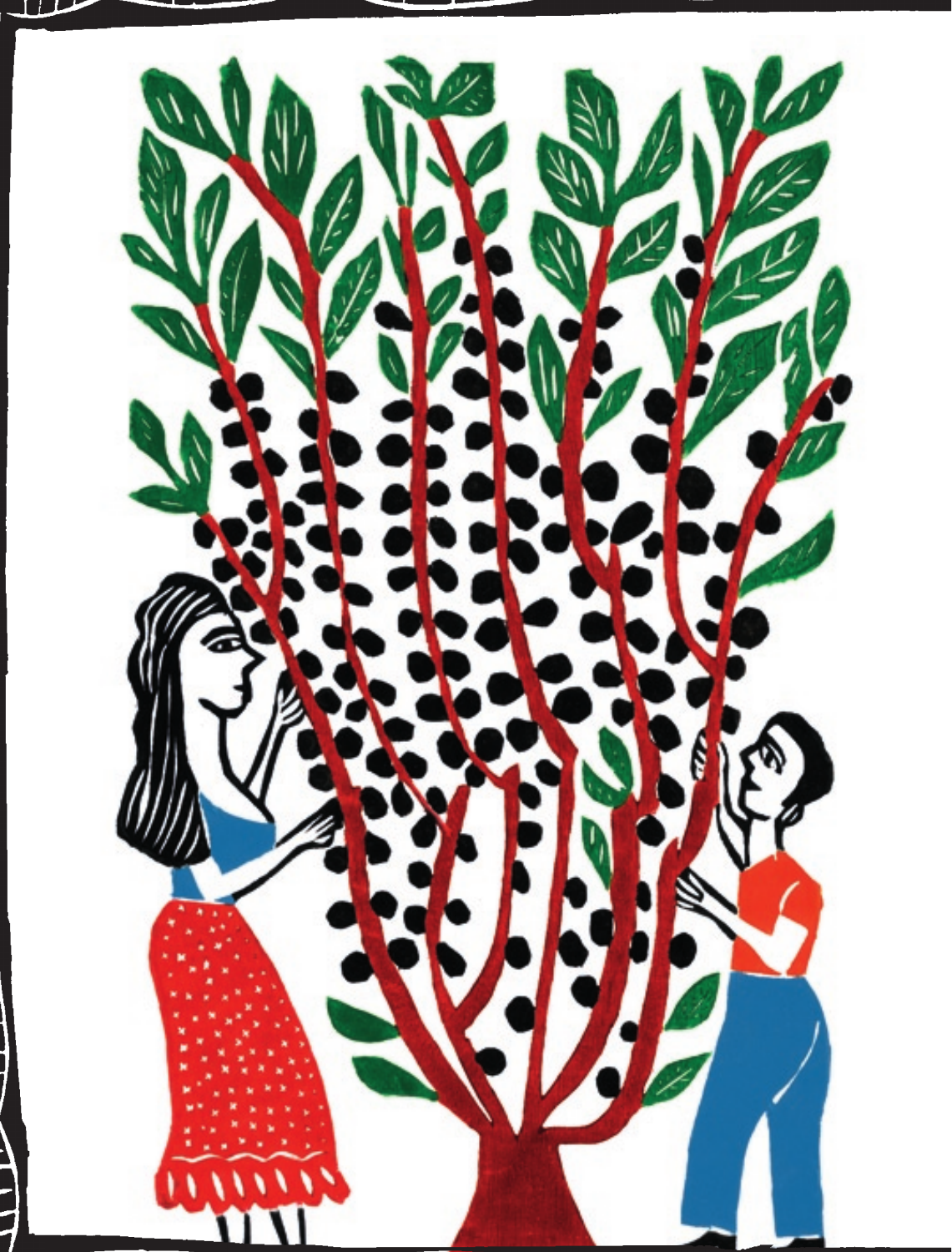